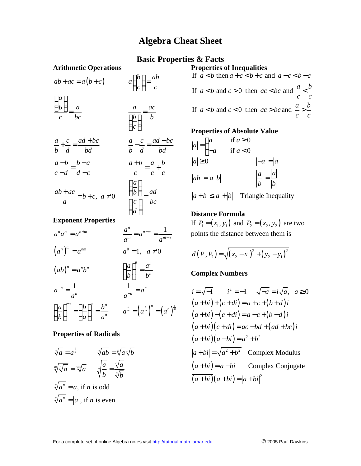# **Algebra Cheat Sheet**

## **Basic Properties & Facts**

### **Arithmetic Operations**

 $ab + ac = a(b+c)$   $a\left(\frac{b}{c}\right) =$ *a b a a ac c bc*  $\begin{pmatrix} b \\ b \end{pmatrix}$  *b*  $\left(\frac{a}{b}\right)$  $=\frac{a}{bc}$   $\qquad \qquad \frac{a}{\left(\frac{b}{c}\right)}$ 

$$
\frac{a}{\left(\frac{b}{c}\right)} = \frac{ac}{b}
$$

*b ab c c*

 $(b)$ 

$$
\frac{a}{b} + \frac{c}{d} = \frac{ad + bc}{bd} \qquad \qquad \frac{a}{b} - \frac{c}{d} = \frac{ad - bc}{bd}
$$
  

$$
\frac{a - b}{b} = \frac{b - a}{cd} \qquad \qquad \frac{a + b}{b} = \frac{a}{b} + \frac{b}{c}
$$

$$
c-d \quad d-c \quad c \quad c \quad c
$$
\n
$$
ab+ac \quad b+c \quad a \neq 0 \quad \left(\frac{a}{b}\right)_{-} ad
$$

$$
\frac{a-b}{c-d} = \frac{b-a}{d-c}
$$
\n
$$
\frac{a+b}{c} = \frac{a}{c} + \frac{b}{c}
$$
\n
$$
\frac{ab+ac}{a} = b+c, \ a \neq 0
$$
\n
$$
\frac{\left(\frac{a}{b}\right)}{\left(\frac{c}{d}\right)} = \frac{ad}{bc}
$$

### **Exponent Properties**

$$
a^{n}a^{m} = a^{n+m}
$$
\n
$$
a^{n}a^{m} = a^{n+m}
$$
\n
$$
a^{n}a^{m} = a^{n-m} = \frac{1}{a^{m-n}}
$$
\n
$$
(ab)^{n} = a^{n}b^{n}
$$
\n
$$
a^{n} = \frac{1}{a^{n}}
$$
\n
$$
a^{-n} = \frac{1}{a^{n}}
$$
\n
$$
\left(\frac{a}{b}\right)^{n} = \frac{a^{n}}{b^{n}}
$$
\n
$$
\frac{1}{a^{-n}} = a^{n}
$$
\n
$$
\left(\frac{a}{b}\right)^{n} = \left(\frac{b}{a}\right)^{n} = \frac{b^{n}}{a^{n}}
$$
\n
$$
a^{\frac{a}{m}} = \left(a^{\frac{1}{m}}\right)^{n} = \left(a^{n}\right)^{\frac{1}{m}}
$$

#### **Properties of Radicals**

$$
\sqrt[n]{a} = a^{\frac{1}{n}}
$$

$$
\sqrt[n]{ab} = \sqrt[n]{a}\sqrt[n]{b}
$$

$$
\sqrt[m]{\sqrt[n]{a}} = \sqrt[mn]{a}
$$

$$
\sqrt[n]{\frac{a}{b}} = \frac{\sqrt[n]{a}}{\sqrt[n]{b}}
$$

$$
\sqrt[n]{a^n} = a, \text{ if } n \text{ is odd}
$$

$$
\sqrt[n]{a^n} = |a|, \text{ if } n \text{ is even}
$$

**Properties of Inequalities** If  $a < b$  then  $a + c < b + c$  and  $a - c < b - c$ If  $a < b$  and  $c > 0$  then  $ac < bc$  and  $\frac{a}{b} < \frac{b}{c}$ If  $a < b$  and  $c < 0$  then  $ac > bc$  and  $\frac{a}{c} > \frac{b}{c}$ *c c*  **and**  $c > 0$  **then**  $ac < bc$  **and**  $\frac{a}{c} <$  **and**  $c < 0$  **then**  $ac > bc$  **and**  $\frac{a}{c} >$ 

*c c*

#### **Properties of Absolute Value**

$$
|a| = \begin{cases} a & \text{if } a \ge 0 \\ -a & \text{if } a < 0 \end{cases}
$$
  

$$
|a| \ge 0 \qquad |-a| = |a|
$$
  

$$
|ab| = |a||b| \qquad \qquad \left|\frac{a}{b}\right| = \frac{|a|}{|b|}
$$
  

$$
|a + b| \le |a| + |b| \qquad \text{Triangle Inequality}
$$

**Distance Formula**

If  $P_1 = (x_1, y_1)$  and  $P_2 = (x_2, y_2)$  are two points the distance between them is

$$
d(P_1, P_2) = \sqrt{(x_2 - x_1)^2 + (y_2 - y_1)^2}
$$

### **Complex Numbers**

$$
i = \sqrt{-1} \qquad i^2 = -1 \qquad \sqrt{-a} = i\sqrt{a}, \quad a \ge 0
$$
  
\n
$$
(a+bi) + (c+di) = a+c+(b+d)i
$$
  
\n
$$
(a+bi) - (c+di) = a-c+(b-d)i
$$
  
\n
$$
(a+bi)(c+di) = ac-bd+(ad+bc)i
$$
  
\n
$$
(a+bi)(a-bi) = a^2 + b^2
$$
  
\n
$$
|a+bi| = \sqrt{a^2 + b^2} \qquad \text{Complex Modulus}
$$
  
\n
$$
\overline{(a+bi)} = a-bi \qquad \text{Complex Conjugate}
$$
  
\n
$$
\overline{(a+bi)}(a+bi) = |a+bi|^2
$$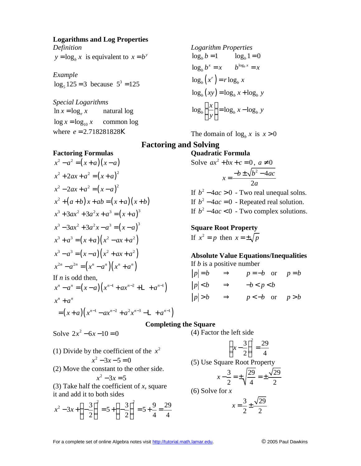#### **Logarithms and Log Properties** *Definition*

 $y = \log_b x$  is equivalent to  $x = b^y$ 

*Example*  3  $\log_5 125 = 3$  because  $5^3 = 125$ 

*Special Logarithms*   $\log x = \log_{10} x$  common log  $\ln x = \log_e x$  natural log where  $e = 2.718281828$ **K** 

**Factoring Formulas**

Logarithm Properties  
\n
$$
\log_b b = 1 \qquad \log_b 1 = 0
$$
\n
$$
\log_b b^x = x \qquad b^{\log_b x} = x
$$
\n
$$
\log_b (x^r) = r \log_b x
$$
\n
$$
\log_b (xy) = \log_b x + \log_b y
$$
\n
$$
\log_b \left(\frac{x}{y}\right) = \log_b x - \log_b y
$$

The domain of  $\log_b x$  is  $x > 0$ 

# **Factoring and Solving**

$$
x^{2}-a^{2} = (x+a)(x-a)
$$
  
\n
$$
x^{2} + 2ax + a^{2} = (x+a)^{2}
$$
  
\n
$$
x^{2} - 2ax + a^{2} = (x-a)^{2}
$$
  
\n
$$
x^{2} + (a+b)x + ab = (x+a)(x+b)
$$
  
\n
$$
x^{3} + 3ax^{2} + 3a^{2}x + a^{3} = (x+a)^{3}
$$
  
\n
$$
x^{3} - 3ax^{2} + 3a^{2}x - a^{3} = (x-a)^{3}
$$
  
\n
$$
x^{3} + a^{3} = (x+a)(x^{2} - ax + a^{2})
$$
  
\n
$$
x^{3} - a^{3} = (x-a)(x^{2} + ax + a^{2})
$$
  
\n
$$
x^{2n} - a^{2n} = (x^{n} - a^{n})(x^{n} + a^{n})
$$
  
\nIf *n* is odd then,

If *n* is odd then,  
\n
$$
x^{n} - a^{n} = (x - a) (x^{n-1} + ax^{n-2} + L + a^{n-1})
$$
\n
$$
x^{n} + a^{n}
$$

$$
= (x+a)(x^{n-1} - ax^{n-2} + a^2x^{n-3} - L + a^{n-1})
$$

Solve 
$$
2x^2 - 6x - 10 = 0
$$

(1) Divide by the coefficient of the  $x^2$ 

$$
x^2-3x-5=0
$$

(2) Move the constant to the other side.

$$
x^2 - 3x = 5
$$

(3) Take half the coefficient of *x*, square it and add it to both sides

$$
x^{2}-3x+\left(-\frac{3}{2}\right)^{2}=5+\left(-\frac{3}{2}\right)^{2}=5+\frac{9}{4}=\frac{29}{4}
$$

Quadratic Formula  
Solve 
$$
ax^2 + bx + c = 0
$$
,  $a \ne 0$   

$$
x = \frac{-b \pm \sqrt{b^2 - 4ac}}{2a}
$$

If  $b^2 - 4ac > 0$  - Two real unequal solns. If  $b^2 - 4ac = 0$  - Repeated real solution. If  $b^2 - 4ac < 0$  - Two complex solutions.

### **Square Root Property**

If  $x^2 = p$  then  $x = \pm \sqrt{p}$ 

# **Absolute Value Equations/Inequalities**

If *b* is a positive number

$$
|p|=b \Rightarrow p=-b \text{ or } p=b
$$
  
\n
$$
|p| **\n
$$
|p|>b \Rightarrow p<-b \text{ or } p>b
$$**
$$

### **Completing the Square**

(4) Factor the left side

(4) Factor the left side  

$$
\left(x - \frac{3}{2}\right)^2 = \frac{29}{4}
$$
  
(5) Use Square Root Property

$$
x - \frac{3}{2} = \pm \sqrt{\frac{29}{4}} = \pm \frac{\sqrt{29}}{2}
$$

(6) Solve for *x* 

$$
x = \frac{3}{2} \pm \frac{\sqrt{29}}{2}
$$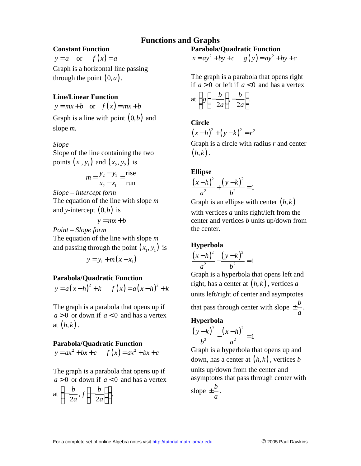# **Functions and Graphs**

### **Constant Function**

 $y = a$  or  $f(x) = a$ Graph is a horizontal line passing through the point  $(0, a)$ .

### **Line/Linear Function**

 $y = mx + b$  or  $f(x) = mx + b$ 

Graph is a line with point (0,*b*) and slope *m.*

*Slope*

Slope of the line containing the two points  $(x_1, y_1)$  and  $(x_2, y_2)$  is

$$
m = \frac{y_2 - y_1}{x_2 - x_1} = \frac{\text{rise}}{\text{run}}
$$

*Slope – intercept form* The equation of the line with slope *m* and *y*-intercept  $(0,b)$  is

 $y = mx + b$ 

*Point – Slope form* The equation of the line with slope *m* and passing through the point  $(x_1, y_1)$  is

$$
y = y_1 + m(x - x_1)
$$

### **Parabola/Quadratic Function**

 $y = a(x-h)^2 + k$  *f*  $(x) = a(x-h)^2 + k$ 

The graph is a parabola that opens up if  $a > 0$  or down if  $a < 0$  and has a vertex at  $(h,k)$ .

### **Parabola/Quadratic Function**

 $y = ax^2 + bx + c$  *f*  $(x) = ax^2 + bx + c$ 

The graph is a parabola that opens up if  $a > 0$  or down if  $a < 0$  and has a vertex

at 
$$
\left(-\frac{b}{2a}, f\left(-\frac{b}{2a}\right)\right)
$$
.

### **Parabola/Quadratic Function**

$$
x = ay^2 + by + c
$$
  $g(y) = ay^2 + by + c$ 

The graph is a parabola that opens right if  $a > 0$  or left if  $a < 0$  and has a vertex

at 
$$
\left( g\left(-\frac{b}{2a}\right), -\frac{b}{2a} \right)
$$
.

**Circle**

$$
(x-h)^2 + (y-k)^2 = r^2
$$

Graph is a circle with radius *r* and center  $(h, k)$ .

### **Ellipse**

$$
\frac{(x-h)^2}{a^2} + \frac{(y-k)^2}{b^2} = 1
$$

Graph is an ellipse with center  $(h, k)$ 

with vertices *a* units right/left from the center and vertices *b* units up/down from the center.

## **Hyperbola**

$$
\frac{(x-h)^2}{a^2} - \frac{(y-k)^2}{b^2} = 1
$$

Graph is a hyperbola that opens left and right, has a center at  $(h, k)$ , vertices *a* units left/right of center and asymptotes that pass through center with slope  $\pm \frac{b}{\sqrt{2}}$ *a*  $\pm \frac{\nu}{\tau}$ .

### **Hyperbola**

$$
\frac{(y-k)^2}{b^2} - \frac{(x-h)^2}{a^2} = 1
$$

Graph is a hyperbola that opens up and down, has a center at  $(h, k)$ , vertices *b* units up/down from the center and asymptotes that pass through center with slope  $\pm \frac{b}{c}$ *a*  $\pm \frac{\nu}{\cdot}$ .